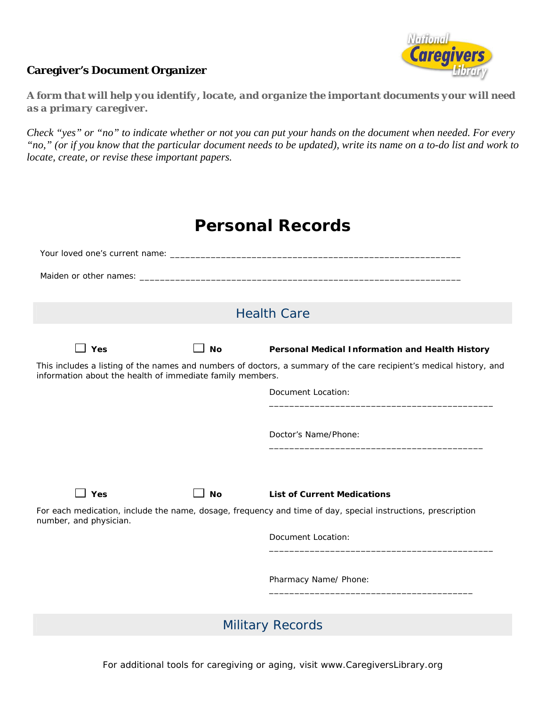## **Caregivers**

## **Caregiver's Document Organizer**

*A form that will help you identify, locate, and organize the important documents your will need as a primary caregiver.* 

*Check "yes" or "no" to indicate whether or not you can put your hands on the document when needed. For every "no," (or if you know that the particular document needs to be updated), write its name on a to-do list and work to locate, create, or revise these important papers.*

| <b>Personal Records</b>                                                                                                                                                          |           |                                                 |  |  |  |
|----------------------------------------------------------------------------------------------------------------------------------------------------------------------------------|-----------|-------------------------------------------------|--|--|--|
|                                                                                                                                                                                  |           |                                                 |  |  |  |
|                                                                                                                                                                                  |           |                                                 |  |  |  |
| <b>Health Care</b>                                                                                                                                                               |           |                                                 |  |  |  |
| $\Box$ Yes                                                                                                                                                                       | No        | Personal Medical Information and Health History |  |  |  |
| This includes a listing of the names and numbers of doctors, a summary of the care recipient's medical history, and<br>information about the health of immediate family members. |           |                                                 |  |  |  |
|                                                                                                                                                                                  |           | Document Location:                              |  |  |  |
|                                                                                                                                                                                  |           | Doctor's Name/Phone:                            |  |  |  |
| $\Box$ Yes                                                                                                                                                                       | <b>No</b> | <b>List of Current Medications</b>              |  |  |  |
| For each medication, include the name, dosage, frequency and time of day, special instructions, prescription<br>number, and physician.                                           |           |                                                 |  |  |  |
|                                                                                                                                                                                  |           | Document Location:                              |  |  |  |
|                                                                                                                                                                                  |           | Pharmacy Name/ Phone:                           |  |  |  |
|                                                                                                                                                                                  |           | <b>Military Records</b>                         |  |  |  |

For additional tools for caregiving or aging, visit www.CaregiversLibrary.org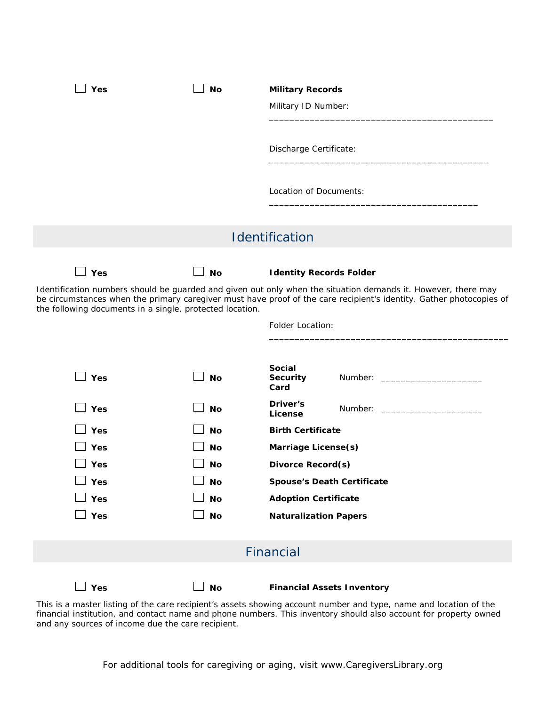| Yes                                                                                                                                                                                                                                                                                              | <b>No</b>     | <b>Military Records</b>                                                                                          |  |
|--------------------------------------------------------------------------------------------------------------------------------------------------------------------------------------------------------------------------------------------------------------------------------------------------|---------------|------------------------------------------------------------------------------------------------------------------|--|
|                                                                                                                                                                                                                                                                                                  |               | Military ID Number:                                                                                              |  |
|                                                                                                                                                                                                                                                                                                  |               | Discharge Certificate:                                                                                           |  |
|                                                                                                                                                                                                                                                                                                  |               | Location of Documents:                                                                                           |  |
|                                                                                                                                                                                                                                                                                                  |               | Identification                                                                                                   |  |
| $\Box$ Yes                                                                                                                                                                                                                                                                                       | <b>No</b>     | <b>Identity Records Folder</b>                                                                                   |  |
| Identification numbers should be guarded and given out only when the situation demands it. However, there may<br>be circumstances when the primary caregiver must have proof of the care recipient's identity. Gather photocopies of<br>the following documents in a single, protected location. |               |                                                                                                                  |  |
|                                                                                                                                                                                                                                                                                                  |               | Folder Location:                                                                                                 |  |
|                                                                                                                                                                                                                                                                                                  |               | <b>Social</b>                                                                                                    |  |
| $\Box$ Yes                                                                                                                                                                                                                                                                                       | <b>No</b>     | <b>Security</b><br>Number: _____________________________<br>Card                                                 |  |
| $\sqcup$ Yes                                                                                                                                                                                                                                                                                     | <b>No</b>     | Driver's<br>Number: ___________________________<br>License                                                       |  |
| Yes                                                                                                                                                                                                                                                                                              | <b>No</b>     | <b>Birth Certificate</b>                                                                                         |  |
| Yes                                                                                                                                                                                                                                                                                              | <b>No</b>     | <b>Marriage License(s)</b>                                                                                       |  |
| Yes                                                                                                                                                                                                                                                                                              | <b>No</b>     | <b>Divorce Record(s)</b>                                                                                         |  |
| $\Box$ Yes                                                                                                                                                                                                                                                                                       | $\Box$ No     | <b>Spouse's Death Certificate</b>                                                                                |  |
| <b>]Yes</b>                                                                                                                                                                                                                                                                                      | No            | <b>Adoption Certificate</b>                                                                                      |  |
| Yes                                                                                                                                                                                                                                                                                              | $\mathsf{No}$ | <b>Naturalization Papers</b>                                                                                     |  |
|                                                                                                                                                                                                                                                                                                  |               | Financial                                                                                                        |  |
| $\Box$ Yes                                                                                                                                                                                                                                                                                       | No            | <b>Financial Assets Inventory</b>                                                                                |  |
|                                                                                                                                                                                                                                                                                                  |               | This is a master listing of the care recipient's assets showing account number and type name and location of the |  |

This is a master listing of the care recipient's assets showing account number and type, name and location of the financial institution, and contact name and phone numbers. This inventory should also account for property owned and any sources of income due the care recipient.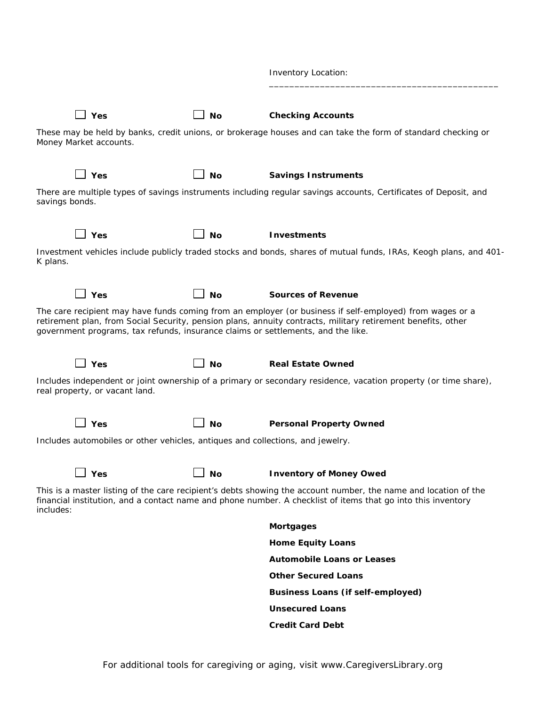|                                                                                  |           | <b>Inventory Location:</b>                                                                                                                                                                                                      |
|----------------------------------------------------------------------------------|-----------|---------------------------------------------------------------------------------------------------------------------------------------------------------------------------------------------------------------------------------|
| 」Yes                                                                             | No        | <b>Checking Accounts</b>                                                                                                                                                                                                        |
| Money Market accounts.                                                           |           | These may be held by banks, credit unions, or brokerage houses and can take the form of standard checking or                                                                                                                    |
| 」Yes                                                                             | <b>No</b> | <b>Savings Instruments</b>                                                                                                                                                                                                      |
| savings bonds.                                                                   |           | There are multiple types of savings instruments including regular savings accounts, Certificates of Deposit, and                                                                                                                |
| ⊿ Yes                                                                            | <b>No</b> | <b>Investments</b>                                                                                                                                                                                                              |
| K plans.                                                                         |           | Investment vehicles include publicly traded stocks and bonds, shares of mutual funds, IRAs, Keogh plans, and 401-                                                                                                               |
| <b>」Yes</b>                                                                      | <b>No</b> | <b>Sources of Revenue</b>                                                                                                                                                                                                       |
| government programs, tax refunds, insurance claims or settlements, and the like. |           | The care recipient may have funds coming from an employer (or business if self-employed) from wages or a<br>retirement plan, from Social Security, pension plans, annuity contracts, military retirement benefits, other        |
| Yes                                                                              | <b>No</b> | <b>Real Estate Owned</b>                                                                                                                                                                                                        |
| real property, or vacant land.                                                   |           | Includes independent or joint ownership of a primary or secondary residence, vacation property (or time share),                                                                                                                 |
| ⊿ Yes                                                                            | No        | <b>Personal Property Owned</b>                                                                                                                                                                                                  |
| Includes automobiles or other vehicles, antiques and collections, and jewelry.   |           |                                                                                                                                                                                                                                 |
| Yes                                                                              | <b>No</b> | <b>Inventory of Money Owed</b>                                                                                                                                                                                                  |
| includes:                                                                        |           | This is a master listing of the care recipient's debts showing the account number, the name and location of the<br>financial institution, and a contact name and phone number. A checklist of items that go into this inventory |
|                                                                                  |           | <b>Mortgages</b>                                                                                                                                                                                                                |
|                                                                                  |           | <b>Home Equity Loans</b>                                                                                                                                                                                                        |
|                                                                                  |           | <b>Automobile Loans or Leases</b>                                                                                                                                                                                               |
|                                                                                  |           | <b>Other Secured Loans</b>                                                                                                                                                                                                      |
|                                                                                  |           | <b>Business Loans (if self-employed)</b>                                                                                                                                                                                        |
|                                                                                  |           | <b>Unsecured Loans</b>                                                                                                                                                                                                          |

**Credit Card Debt**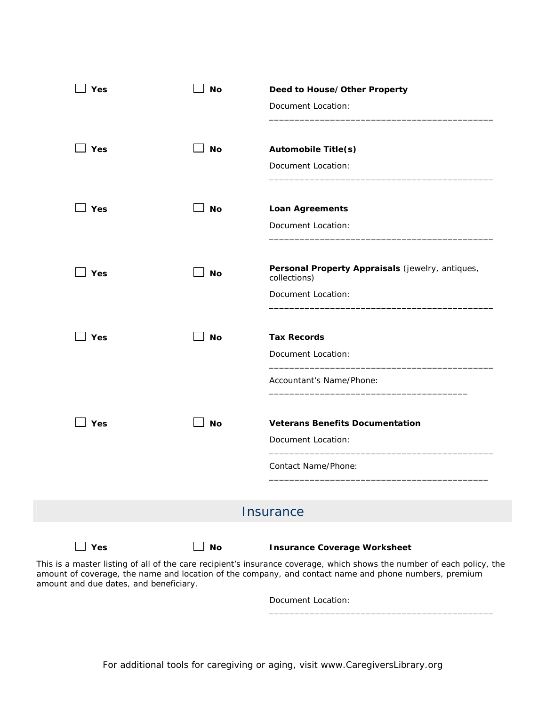| Yes         | <b>No</b> | Deed to House/Other Property<br>Document Location:                                     |
|-------------|-----------|----------------------------------------------------------------------------------------|
| Yes         | <b>No</b> | <b>Automobile Title(s)</b><br>Document Location:                                       |
| <b>]Yes</b> | <b>No</b> | <b>Loan Agreements</b><br>Document Location:                                           |
| $\Box$ Yes  | <b>No</b> | Personal Property Appraisals (jewelry, antiques,<br>collections)<br>Document Location: |
| 」Yes        | <b>No</b> | <b>Tax Records</b><br>Document Location:                                               |
|             |           | Accountant's Name/Phone:                                                               |
| ∃ Yes       | <b>No</b> | <b>Veterans Benefits Documentation</b><br>Document Location:                           |
|             |           | Contact Name/Phone:                                                                    |
|             |           | Insurance                                                                              |
| $\Box$ Yes  | <b>No</b> | <b>Insurance Coverage Worksheet</b>                                                    |

This is a master listing of all of the care recipient's insurance coverage, which shows the number of each policy, the amount of coverage, the name and location of the company, and contact name and phone numbers, premium amount and due dates, and beneficiary.

Document Location:

\_\_\_\_\_\_\_\_\_\_\_\_\_\_\_\_\_\_\_\_\_\_\_\_\_\_\_\_\_\_\_\_\_\_\_\_\_\_\_\_\_\_\_\_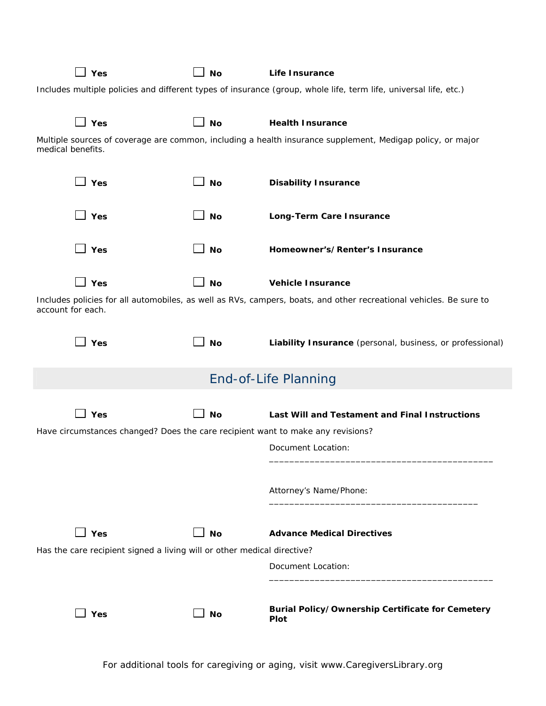|                                                                                                                                         | Yes                                                                             | <b>No</b> | Life Insurance                                                  |  |  |
|-----------------------------------------------------------------------------------------------------------------------------------------|---------------------------------------------------------------------------------|-----------|-----------------------------------------------------------------|--|--|
| Includes multiple policies and different types of insurance (group, whole life, term life, universal life, etc.)                        |                                                                                 |           |                                                                 |  |  |
|                                                                                                                                         | Yes                                                                             | <b>No</b> | <b>Health Insurance</b>                                         |  |  |
| Multiple sources of coverage are common, including a health insurance supplement, Medigap policy, or major<br>medical benefits.         |                                                                                 |           |                                                                 |  |  |
|                                                                                                                                         | $\Box$ Yes                                                                      | <b>No</b> | <b>Disability Insurance</b>                                     |  |  |
|                                                                                                                                         | Yes                                                                             | <b>No</b> | Long-Term Care Insurance                                        |  |  |
|                                                                                                                                         | Yes                                                                             | <b>No</b> | Homeowner's/Renter's Insurance                                  |  |  |
|                                                                                                                                         | Yes                                                                             | <b>No</b> | <b>Vehicle Insurance</b>                                        |  |  |
| Includes policies for all automobiles, as well as RVs, campers, boats, and other recreational vehicles. Be sure to<br>account for each. |                                                                                 |           |                                                                 |  |  |
|                                                                                                                                         | Yes                                                                             | <b>No</b> | Liability Insurance (personal, business, or professional)       |  |  |
|                                                                                                                                         |                                                                                 |           | <b>End-of-Life Planning</b>                                     |  |  |
|                                                                                                                                         | Yes                                                                             | <b>No</b> | Last Will and Testament and Final Instructions                  |  |  |
|                                                                                                                                         | Have circumstances changed? Does the care recipient want to make any revisions? |           |                                                                 |  |  |
|                                                                                                                                         |                                                                                 |           | Document Location:                                              |  |  |
|                                                                                                                                         |                                                                                 |           | Attorney's Name/Phone:                                          |  |  |
|                                                                                                                                         | Yes                                                                             | $\Box$ No | <b>Advance Medical Directives</b>                               |  |  |
| Has the care recipient signed a living will or other medical directive?                                                                 |                                                                                 |           |                                                                 |  |  |
|                                                                                                                                         |                                                                                 |           | Document Location:                                              |  |  |
|                                                                                                                                         | Yes                                                                             | 」No       | <b>Burial Policy/Ownership Certificate for Cemetery</b><br>Plot |  |  |

For additional tools for caregiving or aging, visit www.CaregiversLibrary.org